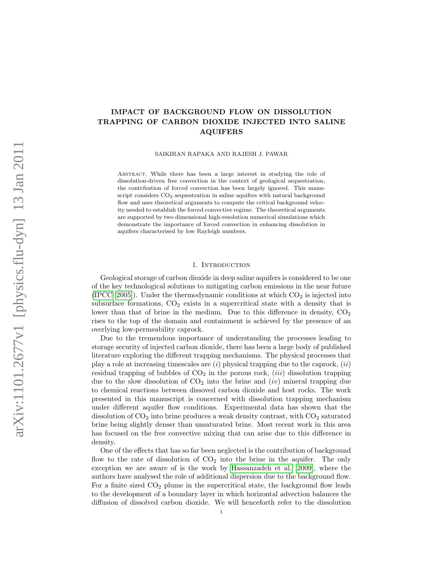# IMPACT OF BACKGROUND FLOW ON DISSOLUTION TRAPPING OF CARBON DIOXIDE INJECTED INTO SALINE AQUIFERS

SAIKIRAN RAPAKA AND RAJESH J. PAWAR

ABSTRACT. While there has been a large interest in studying the role of dissolution-driven free convection in the context of geological sequestration, the contribution of forced convection has been largely ignored. This manuscript considers CO<sub>2</sub> sequestration in saline aquifers with natural background flow and uses theoretical arguments to compute the critical background velocity needed to establish the forced convective regime. The theoretical arguments are supported by two dimensional high-resolution numerical simulations which demonstrate the importance of forced convection in enhancing dissolution in aquifers characterised by low Rayleigh numbers.

### 1. INTRODUCTION

Geological storage of carbon dioxide in deep saline aquifers is considered to be one of the key technological solutions to mitigating carbon emissions in the near future [\(IPCC](#page-8-0) [\[2005\]](#page-8-0)). Under the thermodynamic conditions at which  $CO<sub>2</sub>$  is injected into subsurface formations,  $CO<sub>2</sub>$  exists in a supercritical state with a density that is lower than that of brine in the medium. Due to this difference in density,  $CO<sub>2</sub>$ rises to the top of the domain and containment is achieved by the presence of an overlying low-permeability caprock.

Due to the tremendous importance of understanding the processes leading to storage security of injected carbon dioxide, there has been a large body of published literature exploring the different trapping mechanisms. The physical processes that play a role at increasing timescales are  $(i)$  physical trapping due to the caprock,  $(ii)$ residual trapping of bubbles of  $CO<sub>2</sub>$  in the porous rock, *(iii)* dissolution trapping due to the slow dissolution of  $CO<sub>2</sub>$  into the brine and  $(iv)$  mineral trapping due to chemical reactions between dissoved carbon dioxide and host rocks. The work presented in this manuscript is concerned with dissolution trapping mechanism under different aquifer flow conditions. Experimental data has shown that the dissolution of  $CO<sub>2</sub>$  into brine produces a weak density contrast, with  $CO<sub>2</sub>$  saturated brine being slightly denser than unsaturated brine. Most recent work in this area has focused on the free convective mixing that can arise due to this difference in density.

One of the effects that has so far been neglected is the contribution of background flow to the rate of dissolution of  $CO<sub>2</sub>$  into the brine in the aquifer. The only exception we are aware of is the work by [Hassanzadeh et al.](#page-8-1) [\[2009\]](#page-8-1), where the authors have analysed the role of additional dispersion due to the background flow. For a finite sized  $CO<sub>2</sub>$  plume in the supercritical state, the background flow leads to the development of a boundary layer in which horizontal advection balances the diffusion of dissolved carbon dioxide. We will henceforth refer to the dissolution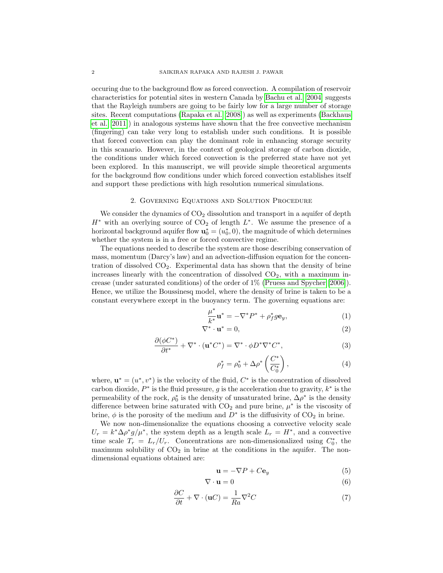occuring due to the background flow as forced convection. A compilation of reservoir characteristics for potential sites in western Canada by [Bachu et al.](#page-8-2) [\[2004\]](#page-8-2) suggests that the Rayleigh numbers are going to be fairly low for a large number of storage sites. Recent computations [\(Rapaka et al.](#page-9-0) [\[2008\]](#page-9-0)) as well as experiments [\(Backhaus](#page-8-3) [et al.](#page-8-3) [\[2011\]](#page-8-3)) in analogous systems have shown that the free convective mechanism (fingering) can take very long to establish under such conditions. It is possible that forced convection can play the dominant role in enhancing storage security in this scanario. However, in the context of geological storage of carbon dioxide, the conditions under which forced convection is the preferred state have not yet been explored. In this manuscript, we will provide simple theoretical arguments for the background flow conditions under which forced convection establishes itself and support these predictions with high resolution numerical simulations.

# 2. Governing Equations and Solution Procedure

We consider the dynamics of  $CO<sub>2</sub>$  dissolution and transport in a aquifer of depth  $H^*$  with an overlying source of  $CO_2$  of length  $L^*$ . We assume the presence of a horizontal background aquifer flow  $\mathbf{u}_0^* = (u_0^*, 0)$ , the magnitude of which determines whether the system is in a free or forced convective regime.

The equations needed to describe the system are those describing conservation of mass, momentum (Darcy's law) and an advection-diffusion equation for the concentration of dissolved  $CO<sub>2</sub>$ . Experimental data has shown that the density of brine increases linearly with the concentration of dissolved  $CO<sub>2</sub>$ , with a maximum increase (under saturated conditions) of the order of 1% [\(Pruess and Spycher](#page-9-1) [\[2006\]](#page-9-1)). Hence, we utilize the Boussinesq model, where the density of brine is taken to be a constant everywhere except in the buoyancy term. The governing equations are:

$$
\frac{\mu^*}{k^*} \mathbf{u}^* = -\nabla^* P^* + \rho_f^* g \mathbf{e}_y,\tag{1}
$$

$$
\nabla^* \cdot \mathbf{u}^* = 0,\tag{2}
$$

$$
\frac{\partial(\phi C^*)}{\partial t^*} + \nabla^* \cdot (\mathbf{u}^* C^*) = \nabla^* \cdot \phi D^* \nabla^* C^*,\tag{3}
$$

$$
\rho_f^* = \rho_0^* + \Delta \rho^* \left( \frac{C^*}{C_0^*} \right), \tag{4}
$$

where,  $\mathbf{u}^* = (u^*, v^*)$  is the velocity of the fluid,  $C^*$  is the concentration of dissolved carbon dioxide,  $P^*$  is the fluid pressure, g is the acceleration due to gravity,  $k^*$  is the permeability of the rock,  $\rho_0^*$  is the density of unsaturated brine,  $\Delta \rho^*$  is the density difference between brine saturated with  $CO<sub>2</sub>$  and pure brine,  $\mu^*$  is the viscosity of brine,  $\phi$  is the porosity of the medium and  $D^*$  is the diffusivity of CO<sub>2</sub> in brine.

We now non-dimensionalize the equations choosing a convective velocity scale  $U_r = k^* \Delta \rho^* g / \mu^*$ , the system depth as a length scale  $L_r = H^*$ , and a convective time scale  $T_r = L_r/U_r$ . Concentrations are non-dimensionalized using  $C_0^*$ , the maximum solubility of  $CO<sub>2</sub>$  in brine at the conditions in the aquifer. The nondimensional equations obtained are:

<span id="page-1-1"></span><span id="page-1-0"></span>
$$
\mathbf{u} = -\nabla P + C\mathbf{e}_y \tag{5}
$$

$$
\nabla \cdot \mathbf{u} = 0 \tag{6}
$$

$$
\frac{\partial C}{\partial t} + \nabla \cdot (\mathbf{u}C) = \frac{1}{Ra} \nabla^2 C \tag{7}
$$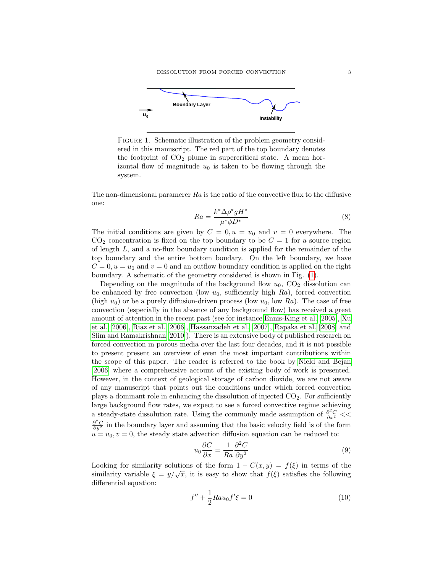

<span id="page-2-0"></span>FIGURE 1. Schematic illustration of the problem geometry considered in this manuscript. The red part of the top boundary denotes the footprint of  $CO<sub>2</sub>$  plume in supercritical state. A mean horizontal flow of magnitude  $u_0$  is taken to be flowing through the system.

The non-dimensional parameter  $Ra$  is the ratio of the convective flux to the diffusive one:

$$
Ra = \frac{k^* \Delta \rho^* g H^*}{\mu^* \phi D^*}
$$
\n(8)

The initial conditions are given by  $C = 0, u = u_0$  and  $v = 0$  everywhere. The  $CO<sub>2</sub>$  concentration is fixed on the top boundary to be  $C = 1$  for a source region of length L, and a no-flux boundary condition is applied for the remainder of the top boundary and the entire bottom boudary. On the left boundary, we have  $C = 0, u = u_0$  and  $v = 0$  and an outflow boundary condition is applied on the right boundary. A schematic of the geometry considered is shown in Fig. [\(1\)](#page-2-0).

Depending on the magnitude of the background flow  $u_0$ ,  $CO_2$  dissolution can be enhanced by free convection (low  $u_0$ , sufficiently high  $Ra$ ), forced convection (high  $u_0$ ) or be a purely diffusion-driven process (low  $u_0$ , low  $Ra$ ). The case of free convection (especially in the absence of any background flow) has received a great amount of attention in the recent past (see for instance [Ennis-King et al.](#page-8-4) [\[2005\]](#page-8-4), [Xu](#page-9-2) [et al.](#page-9-2) [\[2006\]](#page-9-2), [Riaz et al.](#page-9-3) [\[2006\]](#page-9-3), [Hassanzadeh et al.](#page-8-5) [\[2007\]](#page-8-5), [Rapaka et al.](#page-9-0) [\[2008\]](#page-9-0) and [Slim and Ramakrishnan](#page-9-4) [\[2010\]](#page-9-4)). There is an extensive body of published research on forced convection in porous media over the last four decades, and it is not possible to present present an overview of even the most important contributions within the scope of this paper. The reader is referred to the book by [Nield and Bejan](#page-9-5) [\[2006\]](#page-9-5) where a comprehensive account of the existing body of work is presented. However, in the context of geological storage of carbon dioxide, we are not aware of any manuscript that points out the conditions under which forced convection plays a dominant role in enhancing the dissolution of injected  $CO<sub>2</sub>$ . For sufficiently large background flow rates, we expect to see a forced convective regime achieving a steady-state dissolution rate. Using the commonly made assumption of  $\frac{\partial^2 C}{\partial x^2}$  <<  $\frac{\partial^2 C}{\partial y^2}$  in the boundary layer and assuming that the basic velocity field is of the form  $u = u_0, v = 0$ , the steady state advection diffusion equation can be reduced to:

$$
u_0 \frac{\partial C}{\partial x} = \frac{1}{Ra} \frac{\partial^2 C}{\partial y^2}
$$
 (9)

Looking for similarity solutions of the form  $1 - C(x, y) = f(\xi)$  in terms of the Looking for similarity solutions of the form  $1 - C(x, y) = f(\zeta)$  in terms of the similarity variable  $\xi = y/\sqrt{x}$ , it is easy to show that  $f(\xi)$  satisfies the following differential equation:

$$
f'' + \frac{1}{2} R a u_0 f' \xi = 0 \tag{10}
$$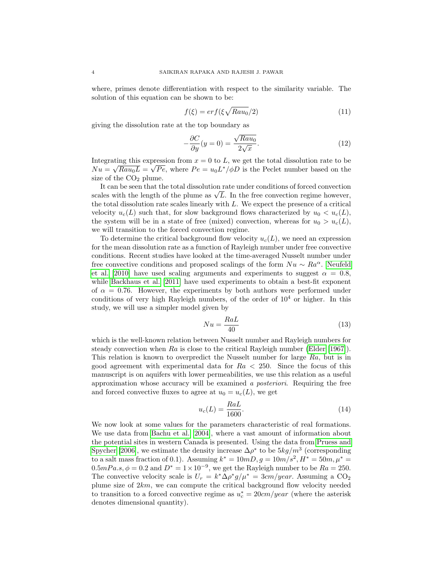where, primes denote differentiation with respect to the similarity variable. The solution of this equation can be shown to be:

<span id="page-3-0"></span>
$$
f(\xi) = erf(\xi \sqrt{Rau_0}/2)
$$
\n(11)

giving the dissolution rate at the top boundary as

$$
-\frac{\partial C}{\partial y}(y=0) = \frac{\sqrt{Rau_0}}{2\sqrt{x}}.\tag{12}
$$

Integrating this expression from  $x = 0$  to L, we get the total dissolution rate to be  $Nu = \sqrt{Ra u_0 L} = \sqrt{Pe}$ , where  $Pe = u_0 L^* / \phi D$  is the Peclet number based on the size of the  $CO<sub>2</sub>$  plume.

It can be seen that the total dissolution rate under conditions of forced convection It can be seen that the total dissolution rate under conditions of forced convection scales with the length of the plume as  $\sqrt{L}$ . In the free convection regime however, the total dissolution rate scales linearly with L. We expect the presence of a critical velocity  $u_c(L)$  such that, for slow background flows characterized by  $u_0 < u_c(L)$ , the system will be in a state of free (mixed) convection, whereas for  $u_0 > u_c(L)$ , we will transition to the forced convection regime.

To determine the critical background flow velocity  $u_c(L)$ , we need an expression for the mean dissolution rate as a function of Rayleigh number under free convective conditions. Recent studies have looked at the time-averaged Nusselt number under free convective conditions and proposed scalings of the form  $Nu \sim Ra^{\alpha}$ . [Neufeld](#page-8-6) [et al.](#page-8-6) [\[2010\]](#page-8-6) have used scaling arguments and experiments to suggest  $\alpha = 0.8$ , while [Backhaus et al.](#page-8-3) [\[2011\]](#page-8-3) have used experiments to obtain a best-fit exponent of  $\alpha = 0.76$ . However, the experiments by both authors were performed under conditions of very high Rayleigh numbers, of the order of  $10<sup>4</sup>$  or higher. In this study, we will use a simpler model given by

$$
Nu = \frac{RaL}{40} \tag{13}
$$

which is the well-known relation between Nusselt number and Rayleigh numbers for steady convection when  $Ra$  is close to the critical Rayleigh number [\(Elder](#page-8-7) [\[1967\]](#page-8-7)). This relation is known to overpredict the Nusselt number for large Ra, but is in good agreement with experimental data for  $Ra < 250$ . Since the focus of this manuscript is on aquifers with lower permeabilities, we use this relation as a useful approximation whose accuracy will be examined a posteriori. Requiring the free and forced convective fluxes to agree at  $u_0 = u_c(L)$ , we get

$$
u_c(L) = \frac{RaL}{1600}.\tag{14}
$$

We now look at some values for the parameters characteristic of real formations. We use data from [Bachu et al.](#page-8-2) [\[2004\]](#page-8-2), where a vast amount of information about the potential sites in western Canada is presented. Using the data from [Pruess and](#page-9-1) [Spycher](#page-9-1) [\[2006\]](#page-9-1), we estimate the density increase  $\Delta \rho^*$  to be  $5kg/m^3$  (corresponding to a salt mass fraction of 0.1). Assuming  $k^* = 10mD, g = 10m/s^2, H^* = 50m, \mu^* =$  $0.5mPa.s$ ,  $\phi = 0.2$  and  $D^* = 1 \times 10^{-9}$ , we get the Rayleigh number to be  $Ra = 250$ . The convective velocity scale is  $U_r = k^* \Delta \rho^* g / \mu^* = 3cm/year$ . Assuming a CO<sub>2</sub> plume size of  $2km$ , we can compute the critical background flow velocity needed to transition to a forced convective regime as  $u_c^* = 20 \, cm/year$  (where the asterisk denotes dimensional quantity).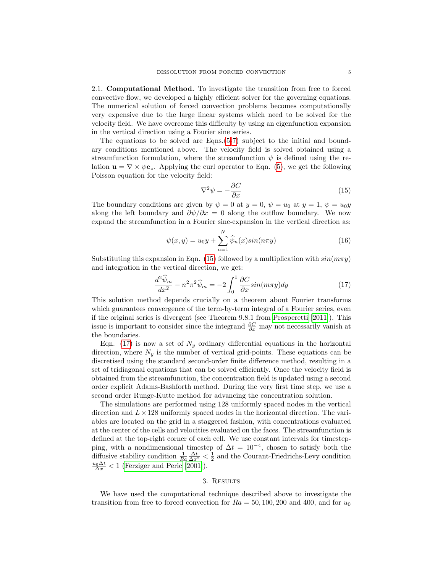2.1. Computational Method. To investigate the transition from free to forced convective flow, we developed a highly efficient solver for the governing equations. The numerical solution of forced convection problems becomes computationally very expensive due to the large linear systems which need to be solved for the velocity field. We have overcome this difficulty by using an eigenfunction expansion in the vertical direction using a Fourier sine series.

The equations to be solved are Eqns.[\(5](#page-1-0)[-7\)](#page-1-1) subject to the initial and boundary conditions mentioned above. The velocity field is solved obtained using a streamfunction formulation, where the streamfunction  $\psi$  is defined using the relation  $\mathbf{u} = \nabla \times \psi \mathbf{e}_z$ . Applying the curl operator to Eqn. [\(5\)](#page-1-0), we get the following Poisson equation for the velocity field:

<span id="page-4-1"></span><span id="page-4-0"></span>
$$
\nabla^2 \psi = -\frac{\partial C}{\partial x} \tag{15}
$$

The boundary conditions are given by  $\psi = 0$  at  $y = 0$ ,  $\psi = u_0$  at  $y = 1$ ,  $\psi = u_0y$ along the left boundary and  $\partial \psi / \partial x = 0$  along the outflow boundary. We now expand the streamfunction in a Fourier sine-expansion in the vertical direction as:

$$
\psi(x,y) = u_0 y + \sum_{n=1}^{N} \widehat{\psi}_n(x) sin(n\pi y)
$$
\n(16)

Substituting this expansion in Eqn. [\(15\)](#page-4-0) followed by a multiplication with  $sin(m\pi y)$ and integration in the vertical direction, we get:

$$
\frac{d^2\hat{\psi}_m}{dx^2} - n^2\pi^2\hat{\psi}_m = -2\int_0^1 \frac{\partial C}{\partial x}sin(m\pi y)dy\tag{17}
$$

This solution method depends crucially on a theorem about Fourier transforms which guarantees convergence of the term-by-term integral of a Fourier series, even if the original series is divergent (see Theorem 9.8.1 from [Prosperetti](#page-9-6) [\[2011\]](#page-9-6)). This issue is important to consider since the integrand  $\frac{\partial C}{\partial x}$  may not necessarily vanish at the boundaries.

Eqn. [\(17\)](#page-4-1) is now a set of  $N_y$  ordinary differential equations in the horizontal direction, where  $N_y$  is the number of vertical grid-points. These equations can be discretised using the standard second-order finite difference method, resulting in a set of tridiagonal equations that can be solved efficiently. Once the velocity field is obtained from the streamfunction, the concentration field is updated using a second order explicit Adams-Bashforth method. During the very first time step, we use a second order Runge-Kutte method for advancing the concentration solution.

The simulations are performed using 128 uniformly spaced nodes in the vertical direction and  $L \times 128$  uniformly spaced nodes in the horizontal direction. The variables are located on the grid in a staggered fashion, with concentrations evaluated at the center of the cells and velocities evaluated on the faces. The streamfunction is defined at the top-right corner of each cell. We use constant intervals for timestepping, with a nondimensional timestep of  $\Delta t = 10^{-4}$ , chosen to satisfy both the diffusive stability condition  $\frac{1}{Ra} \frac{\Delta t}{\Delta x^2} < \frac{1}{2}$  and the Courant-Friedrichs-Levy condition  $\frac{u_0 \Delta t}{\Delta x}$  < 1 [\(Ferziger and Peric](#page-8-8) [\[2001\]](#page-8-8)).

## 3. RESULTS

We have used the computational technique described above to investigate the transition from free to forced convection for  $Ra = 50, 100, 200$  and 400, and for  $u_0$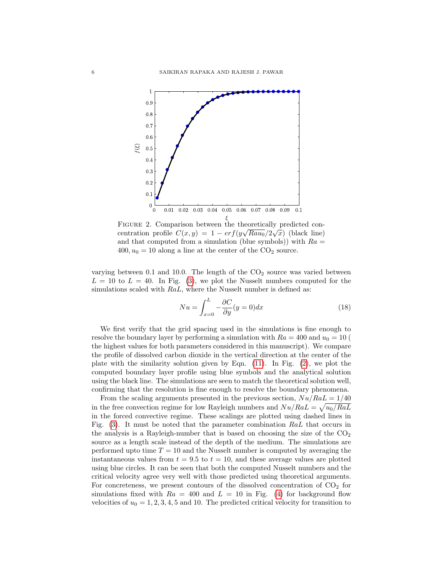

<span id="page-5-0"></span>FIGURE 2. Comparison between the theoretically predicted concentration profile  $C(x,y) = 1 - erf(y\sqrt{Rau_0}/2\sqrt{x})$  (black line) and that computed from a simulation (blue symbols)) with  $Ra =$  $400, u_0 = 10$  along a line at the center of the  $CO_2$  source.

varying between 0.1 and 10.0. The length of the  $CO<sub>2</sub>$  source was varied between  $L = 10$  to  $L = 40$ . In Fig. [\(3\)](#page-6-0), we plot the Nusselt numbers computed for the simulations scaled with RaL, where the Nusselt number is defined as:

$$
Nu = \int_{x=0}^{L} -\frac{\partial C}{\partial y}(y=0)dx
$$
\n(18)

We first verify that the grid spacing used in the simulations is fine enough to resolve the boundary layer by performing a simulation with  $Ra = 400$  and  $u_0 = 10$  ( the highest values for both parameters considered in this manuscript). We compare the profile of dissolved carbon dioxide in the vertical direction at the center of the plate with the similarity solution given by Eqn.  $(11)$ . In Fig.  $(2)$ , we plot the computed boundary layer profile using blue symbols and the analytical solution using the black line. The simulations are seen to match the theoretical solution well, confirming that the resolution is fine enough to resolve the boundary phenomena.

From the scaling arguments presented in the previous section,  $Nu/RaL = 1/40$ in the free convection regime for low Rayleigh numbers and  $Nu/RaL = \sqrt{u_0/RaL}$ in the forced convective regime. These scalings are plotted using dashed lines in Fig. [\(3\)](#page-6-0). It must be noted that the parameter combination RaL that occurs in the analysis is a Rayleigh-number that is based on choosing the size of the  $CO<sub>2</sub>$ source as a length scale instead of the depth of the medium. The simulations are performed upto time  $T = 10$  and the Nusselt number is computed by averaging the instantaneous values from  $t = 9.5$  to  $t = 10$ , and these average values are plotted using blue circles. It can be seen that both the computed Nusselt numbers and the critical velocity agree very well with those predicted using theoretical arguments. For concreteness, we present contours of the dissolved concentration of  $CO<sub>2</sub>$  for simulations fixed with  $Ra = 400$  and  $L = 10$  in Fig. [\(4\)](#page-7-0) for background flow velocities of  $u_0 = 1, 2, 3, 4, 5$  and 10. The predicted critical velocity for transition to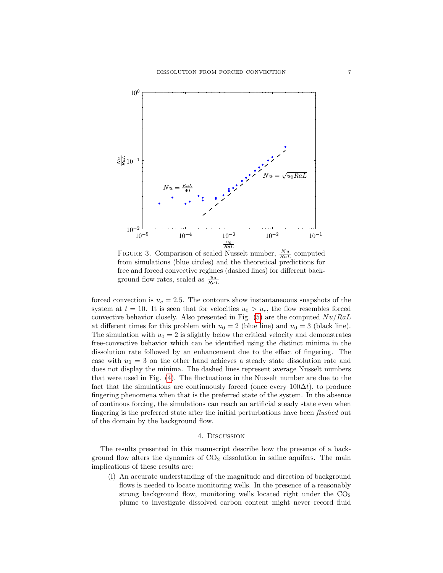

<span id="page-6-0"></span>FIGURE 3. Comparison of scaled Nusselt number,  $\frac{Nu}{RaL}$  computed from simulations (blue circles) and the theoretical predictions for free and forced convective regimes (dashed lines) for different background flow rates, scaled as  $\frac{u_0}{RaL}$ 

forced convection is  $u_c = 2.5$ . The contours show instantaneous snapshots of the system at  $t = 10$ . It is seen that for velocities  $u_0 > u_c$ , the flow resembles forced convective behavior closely. Also presented in Fig.  $(5)$  are the computed  $Nu/RaL$ at different times for this problem with  $u_0 = 2$  (blue line) and  $u_0 = 3$  (black line). The simulation with  $u_0 = 2$  is slightly below the critical velocity and demonstrates free-convective behavior which can be identified using the distinct minima in the dissolution rate followed by an enhancement due to the effect of fingering. The case with  $u_0 = 3$  on the other hand achieves a steady state dissolution rate and does not display the minima. The dashed lines represent average Nusselt numbers that were used in Fig. [\(4\)](#page-7-0). The fluctuations in the Nusselt number are due to the fact that the simulations are continuously forced (once every  $100\Delta t$ ), to produce fingering phenomena when that is the preferred state of the system. In the absence of continous forcing, the simulations can reach an artificial steady state even when fingering is the preferred state after the initial perturbations have been flushed out of the domain by the background flow.

#### 4. Discussion

The results presented in this manuscript describe how the presence of a background flow alters the dynamics of  $CO<sub>2</sub>$  dissolution in saline aquifers. The main implications of these results are:

(i) An accurate understanding of the magnitude and direction of background flows is needed to locate monitoring wells. In the presence of a reasonably strong background flow, monitoring wells located right under the  $CO<sub>2</sub>$ plume to investigate dissolved carbon content might never record fluid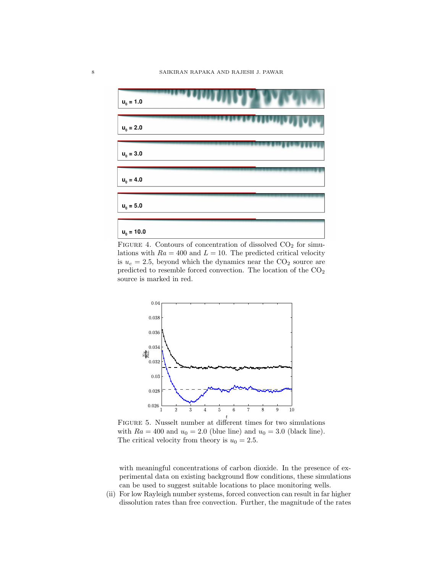

<span id="page-7-0"></span>FIGURE 4. Contours of concentration of dissolved  $CO<sub>2</sub>$  for simulations with  $Ra = 400$  and  $L = 10$ . The predicted critical velocity is  $u_c = 2.5$ , beyond which the dynamics near the  $CO_2$  source are predicted to resemble forced convection. The location of the  $CO<sub>2</sub>$ source is marked in red.



<span id="page-7-1"></span>Figure 5. Nusselt number at different times for two simulations with  $Ra = 400$  and  $u_0 = 2.0$  (blue line) and  $u_0 = 3.0$  (black line). The critical velocity from theory is  $u_0 = 2.5$ .

with meaningful concentrations of carbon dioxide. In the presence of experimental data on existing background flow conditions, these simulations can be used to suggest suitable locations to place monitoring wells.

(ii) For low Rayleigh number systems, forced convection can result in far higher dissolution rates than free convection. Further, the magnitude of the rates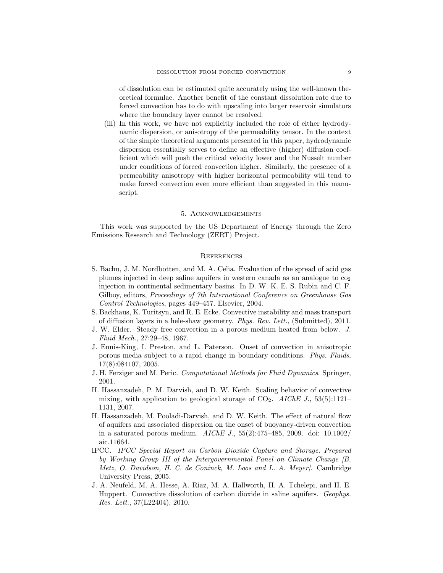of dissolution can be estimated quite accurately using the well-known theoretical formulae. Another benefit of the constant dissolution rate due to forced convection has to do with upscaling into larger reservoir simulators where the boundary layer cannot be resolved.

(iii) In this work, we have not explicitly included the role of either hydrodynamic dispersion, or anisotropy of the permeability tensor. In the context of the simple theoretical arguments presented in this paper, hydrodynamic dispersion essentially serves to define an effective (higher) diffusion coefficient which will push the critical velocity lower and the Nusselt number under conditions of forced convection higher. Similarly, the presence of a permeability anisotropy with higher horizontal permeability will tend to make forced convection even more efficient than suggested in this manuscript.

# 5. Acknowledgements

This work was supported by the US Department of Energy through the Zero Emissions Research and Technology (ZERT) Project.

# **REFERENCES**

- <span id="page-8-2"></span>S. Bachu, J. M. Nordbotten, and M. A. Celia. Evaluation of the spread of acid gas plumes injected in deep saline aquifers in western canada as an analogue to  $\omega_2$ injection in continental sedimentary basins. In D. W. K. E. S. Rubin and C. F. Gilboy, editors, Proceedings of 7th International Conference on Greenhouse Gas Control Technologies, pages 449–457. Elsevier, 2004.
- <span id="page-8-3"></span>S. Backhaus, K. Turitsyn, and R. E. Ecke. Convective instability and mass transport of diffusion layers in a hele-shaw geometry. Phys. Rev. Lett., (Submitted), 2011.
- <span id="page-8-7"></span>J. W. Elder. Steady free convection in a porous medium heated from below. J. Fluid Mech., 27:29–48, 1967.
- <span id="page-8-4"></span>J. Ennis-King, I. Preston, and L. Paterson. Onset of convection in anisotropic porous media subject to a rapid change in boundary conditions. Phys. Fluids, 17(8):084107, 2005.
- <span id="page-8-8"></span>J. H. Ferziger and M. Peric. Computational Methods for Fluid Dynamics. Springer, 2001.
- <span id="page-8-5"></span>H. Hassanzadeh, P. M. Darvish, and D. W. Keith. Scaling behavior of convective mixing, with application to geological storage of  $CO<sub>2</sub>$ . AIChE J., 53(5):1121– 1131, 2007.
- <span id="page-8-1"></span>H. Hassanzadeh, M. Pooladi-Darvish, and D. W. Keith. The effect of natural flow of aquifers and associated dispersion on the onset of buoyancy-driven convection in a saturated porous medium. AIChE J., 55(2):475–485, 2009. doi: 10.1002/ aic.11664.
- <span id="page-8-0"></span>IPCC. IPCC Special Report on Carbon Dioxide Capture and Storage. Prepared by Working Group III of the Intergovernmental Panel on Climate Change [B. Metz, O. Davidson, H. C. de Coninck, M. Loos and L. A. Meyer]. Cambridge University Press, 2005.
- <span id="page-8-6"></span>J. A. Neufeld, M. A. Hesse, A. Riaz, M. A. Hallworth, H. A. Tchelepi, and H. E. Huppert. Convective dissolution of carbon dioxide in saline aquifers. Geophys. Res. Lett., 37(L22404), 2010.